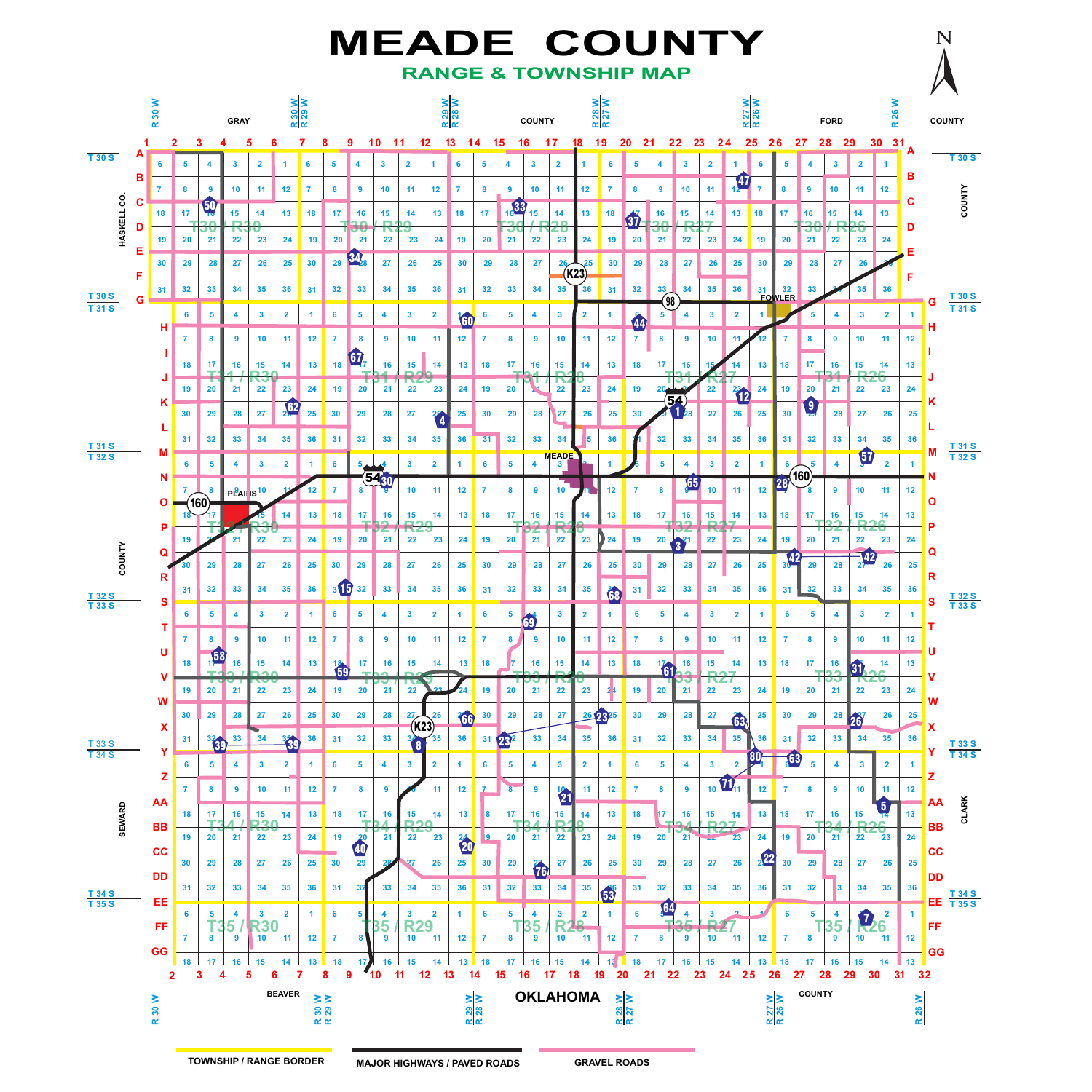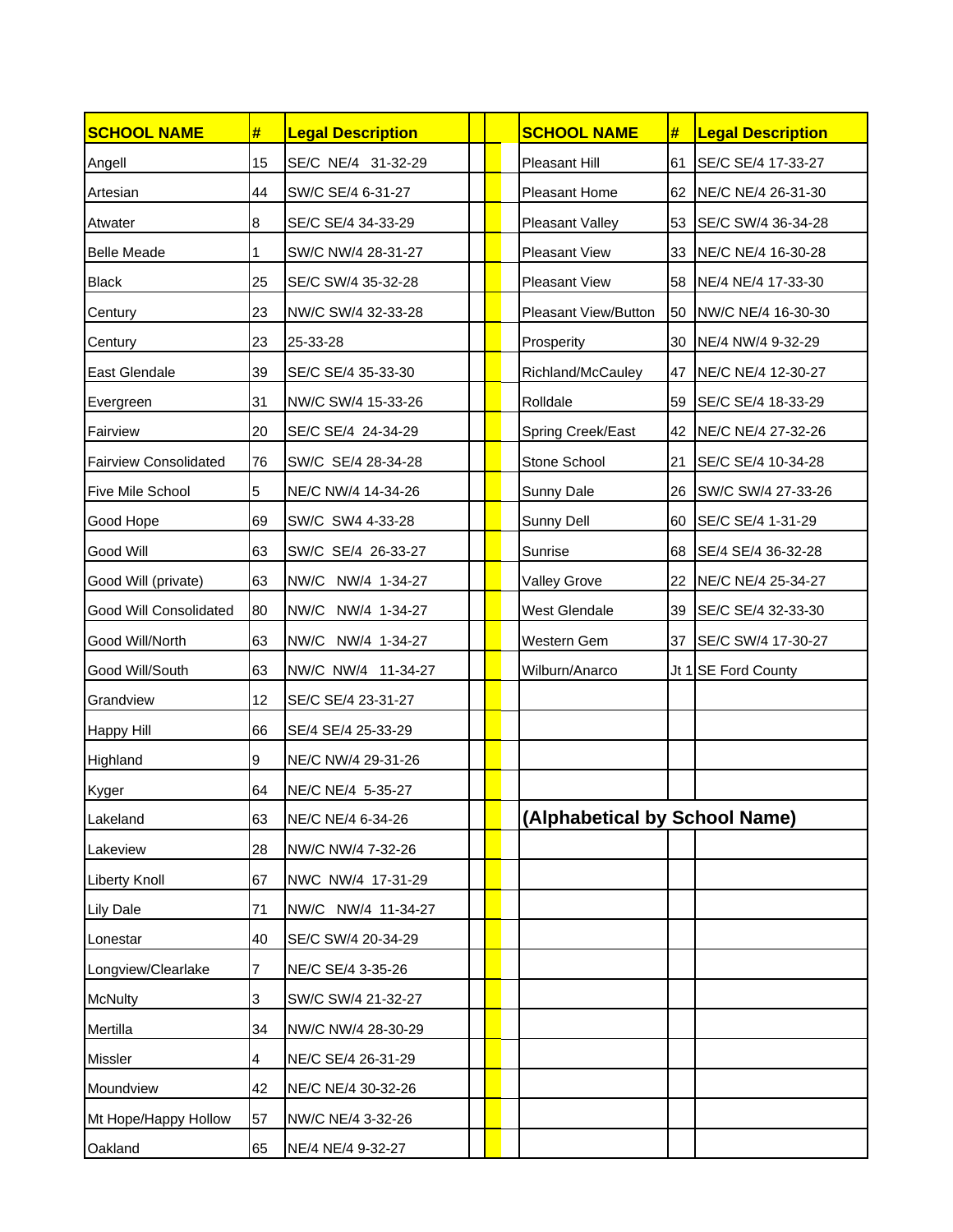| <b>SCHOOL NAME</b>           | #  | <b>Legal Description</b> |  | <b>SCHOOL NAME</b>            | #  | <b>Legal Description</b> |
|------------------------------|----|--------------------------|--|-------------------------------|----|--------------------------|
| Angell                       | 15 | SE/C NE/4 31-32-29       |  | Pleasant Hill                 | 61 | SE/C SE/4 17-33-27       |
| Artesian                     | 44 | SW/C SE/4 6-31-27        |  | Pleasant Home                 | 62 | NE/C NE/4 26-31-30       |
| Atwater                      | 8  | SE/C SE/4 34-33-29       |  | Pleasant Valley               | 53 | SE/C SW/4 36-34-28       |
| <b>Belle Meade</b>           | 1  | SW/C NW/4 28-31-27       |  | <b>Pleasant View</b>          | 33 | NE/C NE/4 16-30-28       |
| Black                        | 25 | SE/C SW/4 35-32-28       |  | <b>Pleasant View</b>          | 58 | NE/4 NE/4 17-33-30       |
| Century                      | 23 | NW/C SW/4 32-33-28       |  | Pleasant View/Button          | 50 | NW/C NE/4 16-30-30       |
| Century                      | 23 | 25-33-28                 |  | Prosperity                    | 30 | NE/4 NW/4 9-32-29        |
| East Glendale                | 39 | SE/C SE/4 35-33-30       |  | Richland/McCauley             | 47 | NE/C NE/4 12-30-27       |
| Evergreen                    | 31 | NW/C SW/4 15-33-26       |  | Rolldale                      | 59 | SE/C SE/4 18-33-29       |
| Fairview                     | 20 | SE/C SE/4 24-34-29       |  | Spring Creek/East             | 42 | NE/C NE/4 27-32-26       |
| <b>Fairview Consolidated</b> | 76 | SW/C SE/4 28-34-28       |  | Stone School                  | 21 | SE/C SE/4 10-34-28       |
| Five Mile School             | 5  | NE/C NW/4 14-34-26       |  | Sunny Dale                    | 26 | SW/C SW/4 27-33-26       |
| Good Hope                    | 69 | SW/C SW4 4-33-28         |  | Sunny Dell                    | 60 | SE/C SE/4 1-31-29        |
| Good Will                    | 63 | SW/C SE/4 26-33-27       |  | Sunrise                       | 68 | SE/4 SE/4 36-32-28       |
| Good Will (private)          | 63 | NW/C NW/4 1-34-27        |  | Valley Grove                  | 22 | NE/C NE/4 25-34-27       |
| Good Will Consolidated       | 80 | NW/C NW/4 1-34-27        |  | West Glendale                 | 39 | SE/C SE/4 32-33-30       |
| Good Will/North              | 63 | NW/C NW/4 1-34-27        |  | Western Gem                   | 37 | SE/C SW/4 17-30-27       |
| Good Will/South              | 63 | NW/C NW/4 11-34-27       |  | Wilburn/Anarco                |    | Jt 1 SE Ford County      |
| Grandview                    | 12 | SE/C SE/4 23-31-27       |  |                               |    |                          |
| <b>Happy Hill</b>            | 66 | SE/4 SE/4 25-33-29       |  |                               |    |                          |
| Highland                     | 9  | NE/C NW/4 29-31-26       |  |                               |    |                          |
| Kyger                        | 64 | NE/C NE/4 5-35-27        |  |                               |    |                          |
| Lakeland                     | 63 | NE/C NE/4 6-34-26        |  | (Alphabetical by School Name) |    |                          |
| Lakeview                     | 28 | NW/C NW/4 7-32-26        |  |                               |    |                          |
| <b>Liberty Knoll</b>         | 67 | NWC NW/4 17-31-29        |  |                               |    |                          |
| <b>Lily Dale</b>             | 71 | NW/C NW/4 11-34-27       |  |                               |    |                          |
| Lonestar                     | 40 | SE/C SW/4 20-34-29       |  |                               |    |                          |
| Longview/Clearlake           | 7  | NE/C SE/4 3-35-26        |  |                               |    |                          |
| <b>McNulty</b>               | 3  | SW/C SW/4 21-32-27       |  |                               |    |                          |
| Mertilla                     | 34 | NW/C NW/4 28-30-29       |  |                               |    |                          |
| <b>Missler</b>               | 4  | NE/C SE/4 26-31-29       |  |                               |    |                          |
| Moundview                    | 42 | NE/C NE/4 30-32-26       |  |                               |    |                          |
| Mt Hope/Happy Hollow         | 57 | NW/C NE/4 3-32-26        |  |                               |    |                          |
| Oakland                      | 65 | NE/4 NE/4 9-32-27        |  |                               |    |                          |